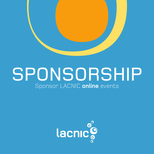

# SPONSORSHIP Sponsor LACNIC **online** events

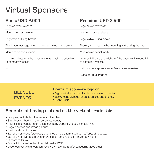## Virtual Sponsors

#### **Basic USD 2.000**

#### **Premium USD 3.500**

| Logo on event website                                                                 | Logo on event website                                                                 |
|---------------------------------------------------------------------------------------|---------------------------------------------------------------------------------------|
| Mention in press release                                                              | Mention in press release                                                              |
| Logo visible during breaks                                                            | Logo visible during breaks                                                            |
| Thank you message when opening and closing the event                                  | Thank you message when opening and closing the event                                  |
| Mentions on social media                                                              | Mentions on social media                                                              |
| Logo on billboard at the lobby of the trade fair. Includes link<br>to company website | Logo on billboard at the lobby of the trade fair. Includes link<br>to company website |
|                                                                                       | Kahoot space sponsor - Limited spaces available                                       |
|                                                                                       | Stand at virtual trade fair                                                           |

#### **BLENDED EVENTS**

#### **Premium sponsors logo on:**

- Signage to be installed inside the convention center
- Background signage for press articles and photos.
- Event T-shirt

#### **Benefits of having a stand at the virtual trade fair**

- Company included on the trade fair floorplan
- Stand customized to match corporate identity
- Publishing of general information, company website and social media links
- Logo presence and image galleries
- Static or dynamic banner
- Exhibition of videos (previously published on a platform such as YouTube, Vimeo, etc.)
- Exhibition of PDF documents or brochures (options to see and/or download)
- Customized trivia
- Contact forms redirecting to social media, WEB
- Direct contact with a representative (via WhatsApp and/or scheduling video calls)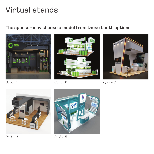### Virtual stands

#### **The sponsor may choose a model from these booth options**





*Option 1 Option 2 Option 3*





*Option 4 Option 5*

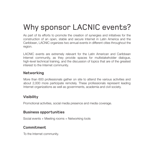### Why sponsor LACNIC events?

As part of its efforts to promote the creation of synergies and initiatives for the construction of an open, stable and secure Internet in Latin America and the Caribbean, LACNIC organizes two annual events in different cities throughout the region.

LACNIC events are extremely relevant for the Latin American and Caribbean Internet community, as they provide spaces for multistakeholder dialogue, high-level technical training, and the discussion of topics that are of the greatest interest to the Internet community.

#### **Networking**

More than 600 professionals gather on site to attend the various activities and about 2,000 more participate remotely. These professionals represent leading Internet organizations as well as governments, academia and civil society.

#### **Visibility**

Promotional activities, social media presence and media coverage.

#### **Business opportunities**

Social events + Meeting rooms + Networking tools

#### **Commitment**

To the Internet community.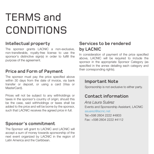# TERMS and CONDITIONS

#### **Intellectual property**

The sponsor grants LACNIC a non-exclusive, non-transferable, royalty-free license to use the sponsor's distinctive sign(s) in order to fulfill the purpose of the agreement.

#### **Price and Form of Payment**

The sponsor must pay the price specified above within 30 days from the date of invoice, via bank transfer or deposit, or using a card (Visa or MasterCard).

Prices will not be subject to any withholdings or taxes in the sponsor's country of origin; should this be the case, said withholdings or taxes shall be added to the price and will be borne by the sponsor, such that LACNIC receives the agreed price in full.

#### **Sponsor's commitment**

The Sponsor will grant to LACNIC and LACNIC will accept a sum of money towards sponsorship of the next event organized by LACNIC in the region of Latin America and the Caribbean.

#### **Services to be rendered by LACNIC**

In consideration of payment of the price specified above, LACNIC will be required to include the sponsor in the appropriate Sponsor Category (as specified in the annex detailing each category and their corresponding rights).

#### **Important Note**

Sponsorship is not exclusive to either party.

#### **Contact information**

*Ana Laura Suárez* Events and Sponsorship Assistant, LACNIC asuarez@lacnic.net Tel:+598 2604 2222 #4803 Fax: +598 2604 2222 #4112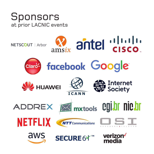### Sponsors at prior LACNIC events

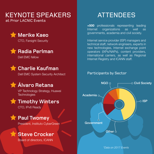### KEYNOTE SPEAKERS ATTENDEES

at Prior LACNIC Events





#### **Radia Perlman**

Dell EMC fellow



#### **Charlie Kaufman**

Dell EMC System Security Architect

### **Álvaro Retana**

VP Technology Strategy, Huawei **Technologies** 



#### **Timothy Winters**

CTO, IPv6 Ready



President, Instituto CyberGreen

### **Steve Crocker**

Board of directors, ICANN

**+500** professionals representing leading Internet organizations as well as governments, academia and civil society.

Internet service provider (ISP) managers and technical staff, network engineers, experts in new technologies, Internet exchange point operators (IXPs/NAPs), content providers, international carriers, as well as Regional Internet Registry and ICANN staff.

#### Participants by Sector



*\*Data on 2017 Events*